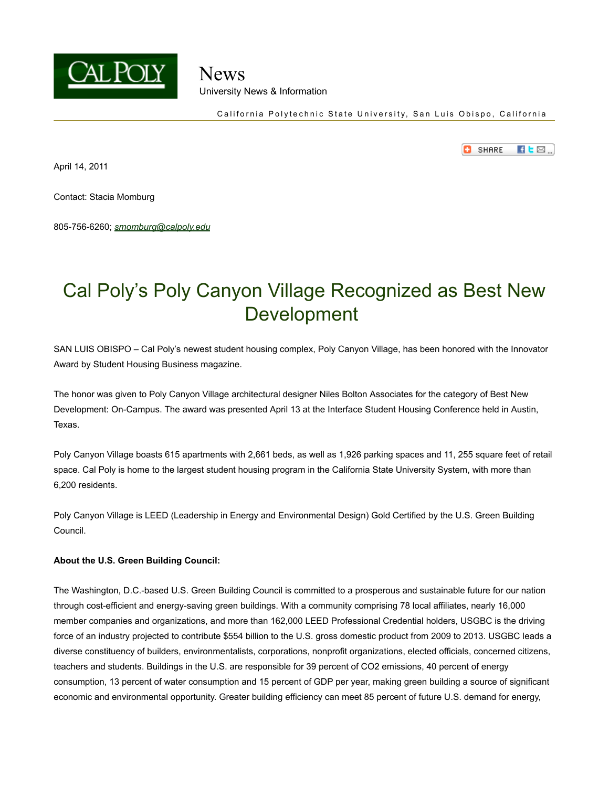

## News University News & Information

California Polytechnic State University, San Luis Obispo, California

o **SHARE**  $H$   $E$   $\boxtimes$   $\Box$ 

April 14, 2011

Contact: Stacia Momburg

805-756-6260; *smomburg@calpoly.edu* 

# Cal Poly's Poly Canyon Village Recognized as Best New Development

 SAN LUIS OBISPO – Cal Poly's newest student housing complex, Poly Canyon Village, has been honored with the Innovator Award by Student Housing Business magazine.

 The honor was given to Poly Canyon Village architectural designer Niles Bolton Associates for the category of Best New Development: On-Campus. The award was presented April 13 at the Interface Student Housing Conference held in Austin, Texas.

 Poly Canyon Village boasts 615 apartments with 2,661 beds, as well as 1,926 parking spaces and 11, 255 square feet of retail space. Cal Poly is home to the largest student housing program in the California State University System, with more than 6,200 residents.

 Poly Canyon Village is LEED (Leadership in Energy and Environmental Design) Gold Certified by the U.S. Green Building Council.

#### **About the U.S. Green Building Council:**

 The Washington, D.C.-based U.S. Green Building Council is committed to a prosperous and sustainable future for our nation through cost-efficient and energy-saving green buildings. With a community comprising 78 local affiliates, nearly 16,000 member companies and organizations, and more than 162,000 LEED Professional Credential holders, USGBC is the driving force of an industry projected to contribute \$554 billion to the U.S. gross domestic product from 2009 to 2013. USGBC leads a diverse constituency of builders, environmentalists, corporations, nonprofit organizations, elected officials, concerned citizens, teachers and students. Buildings in the U.S. are responsible for 39 percent of CO2 emissions, 40 percent of energy consumption, 13 percent of water consumption and 15 percent of GDP per year, making green building a source of significant economic and environmental opportunity. Greater building efficiency can meet 85 percent of future U.S. demand for energy,